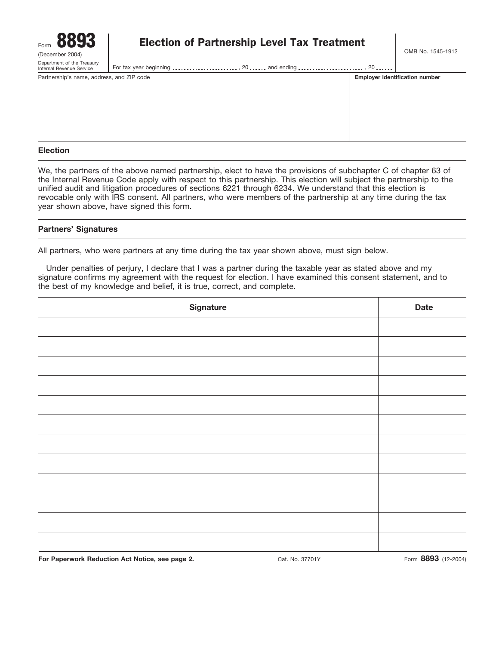

# Form **8893 Election of Partnership Level Tax Treatment**<br>(December 2004)

Internal Revenue Service For tax year beginning ......................, 20 ...... and ending ......................... , 20 ......

| Partnership's name, address, and ZIP code | <b>Employer identification number</b> |
|-------------------------------------------|---------------------------------------|
|                                           |                                       |
|                                           |                                       |
|                                           |                                       |

#### **Election**

We, the partners of the above named partnership, elect to have the provisions of subchapter C of chapter 63 of the Internal Revenue Code apply with respect to this partnership. This election will subject the partnership to the unified audit and litigation procedures of sections 6221 through 6234. We understand that this election is revocable only with IRS consent. All partners, who were members of the partnership at any time during the tax year shown above, have signed this form.

#### **Partners' Signatures**

All partners, who were partners at any time during the tax year shown above, must sign below.

Under penalties of perjury, I declare that I was a partner during the taxable year as stated above and my signature confirms my agreement with the request for election. I have examined this consent statement, and to the best of my knowledge and belief, it is true, correct, and complete.

| Signature | <b>Date</b> |
|-----------|-------------|
|           |             |
|           |             |
|           |             |
|           |             |
|           |             |
|           |             |
|           |             |
|           |             |
|           |             |
|           |             |
|           |             |
|           |             |
|           |             |

**For Paperwork Reduction Act Notice, see page 2.** Cat. No. 37701Y Form **8893** (12-2004)